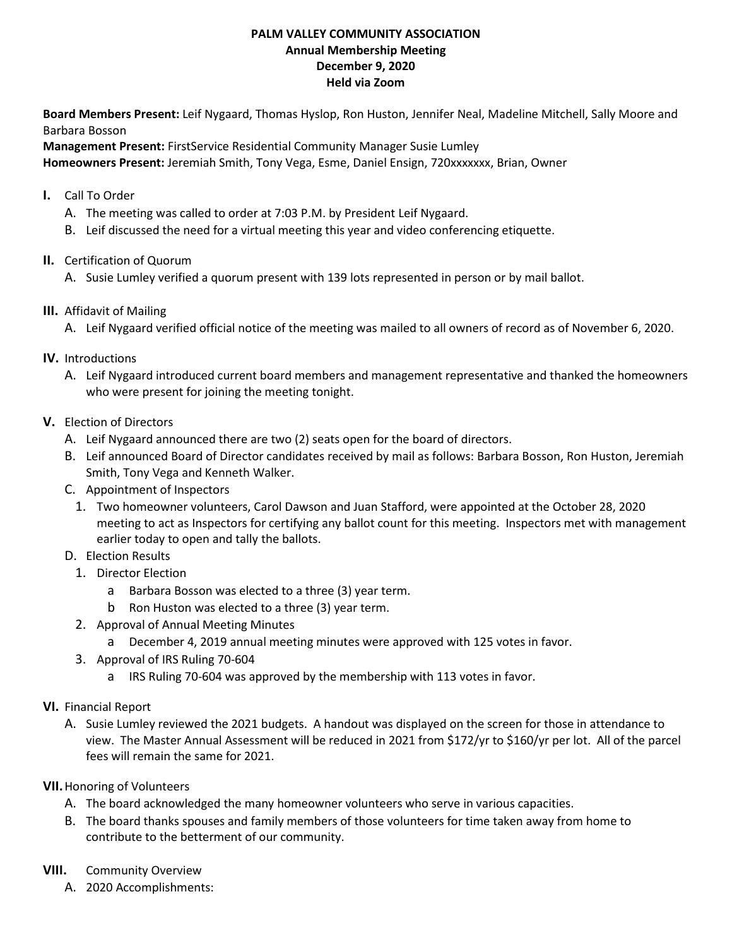## **PALM VALLEY COMMUNITY ASSOCIATION Annual Membership Meeting December 9, 2020 Held via Zoom**

**Board Members Present:** Leif Nygaard, Thomas Hyslop, Ron Huston, Jennifer Neal, Madeline Mitchell, Sally Moore and Barbara Bosson

**Management Present:** FirstService Residential Community Manager Susie Lumley **Homeowners Present:** Jeremiah Smith, Tony Vega, Esme, Daniel Ensign, 720xxxxxxx, Brian, Owner

- **I.** Call To Order
	- A. The meeting was called to order at 7:03 P.M. by President Leif Nygaard.
	- B. Leif discussed the need for a virtual meeting this year and video conferencing etiquette.
- **II.** Certification of Quorum
	- A. Susie Lumley verified a quorum present with 139 lots represented in person or by mail ballot.
- **III.** Affidavit of Mailing
	- A. Leif Nygaard verified official notice of the meeting was mailed to all owners of record as of November 6, 2020.
- **IV.** Introductions
	- A. Leif Nygaard introduced current board members and management representative and thanked the homeowners who were present for joining the meeting tonight.
- **V.** Election of Directors
	- A. Leif Nygaard announced there are two (2) seats open for the board of directors.
	- B. Leif announced Board of Director candidates received by mail as follows: Barbara Bosson, Ron Huston, Jeremiah Smith, Tony Vega and Kenneth Walker.
	- C. Appointment of Inspectors
		- 1. Two homeowner volunteers, Carol Dawson and Juan Stafford, were appointed at the October 28, 2020 meeting to act as Inspectors for certifying any ballot count for this meeting. Inspectors met with management earlier today to open and tally the ballots.
	- D. Election Results
		- 1. Director Election
			- a Barbara Bosson was elected to a three (3) year term.
			- b Ron Huston was elected to a three (3) year term.
		- 2. Approval of Annual Meeting Minutes
			- a December 4, 2019 annual meeting minutes were approved with 125 votes in favor.
		- 3. Approval of IRS Ruling 70-604
			- a IRS Ruling 70-604 was approved by the membership with 113 votes in favor.
- **VI.** Financial Report
	- A. Susie Lumley reviewed the 2021 budgets. A handout was displayed on the screen for those in attendance to view. The Master Annual Assessment will be reduced in 2021 from \$172/yr to \$160/yr per lot. All of the parcel fees will remain the same for 2021.
- **VII.**Honoring of Volunteers
	- A. The board acknowledged the many homeowner volunteers who serve in various capacities.
	- B. The board thanks spouses and family members of those volunteers for time taken away from home to contribute to the betterment of our community.
- **VIII.** Community Overview
	- A. 2020 Accomplishments: